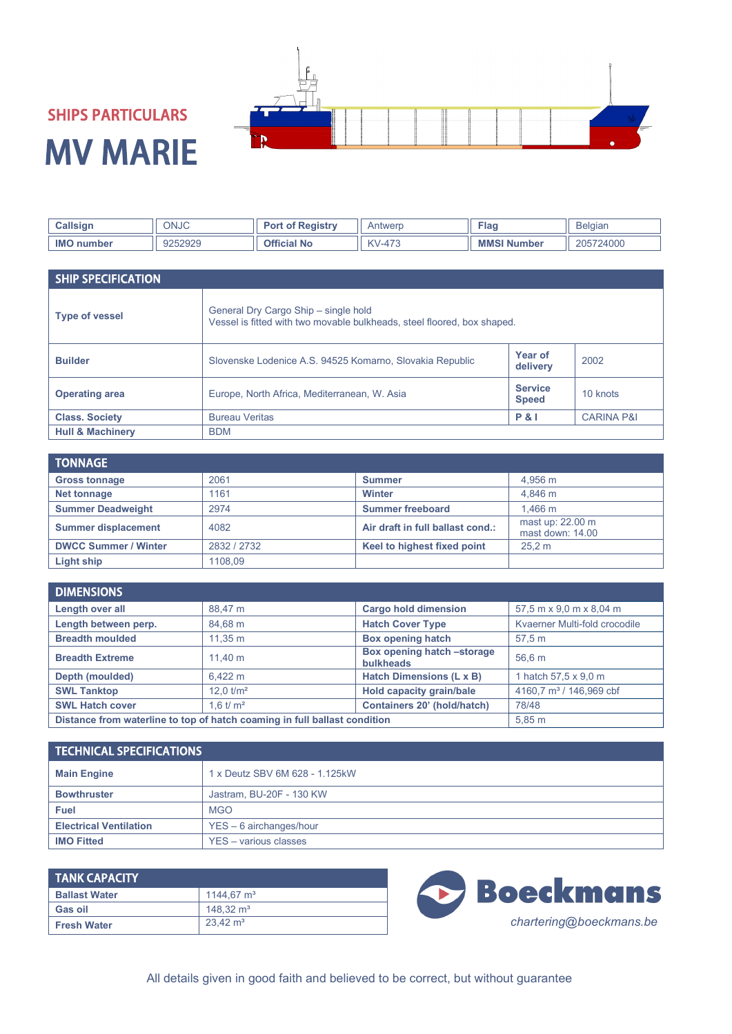

## SHIPS PARTICULARS MV MARIE

| Colleia.<br>Jalisiq⊓ | ONJC    | ⊺Pegistry | Antwerr                               | ≂lac                     | Belaiar |
|----------------------|---------|-----------|---------------------------------------|--------------------------|---------|
| <b>IMC</b><br>iber   | 0000000 | Ĵ۴<br>N0  | $\sqrt{ }$<br>$4 - C$<br>$V - 4$<br>. | <b>MM</b><br>. ND<br>mbe | 24000   |

| <b>SHIP SPECIFICATION</b>   |                                                                                                                 |                                |                       |
|-----------------------------|-----------------------------------------------------------------------------------------------------------------|--------------------------------|-----------------------|
| <b>Type of vessel</b>       | General Dry Cargo Ship - single hold<br>Vessel is fitted with two movable bulkheads, steel floored, box shaped. |                                |                       |
| <b>Builder</b>              | Slovenske Lodenice A.S. 94525 Komarno, Slovakia Republic                                                        | Year of<br>delivery            | 2002                  |
| <b>Operating area</b>       | Europe, North Africa, Mediterranean, W. Asia                                                                    | <b>Service</b><br><b>Speed</b> | 10 knots              |
| <b>Class. Society</b>       | <b>Bureau Veritas</b>                                                                                           | <b>P&amp;I</b>                 | <b>CARINA P&amp;I</b> |
| <b>Hull &amp; Machinery</b> | <b>BDM</b>                                                                                                      |                                |                       |

| <b>TONNAGE</b>              |             |                                  |                                      |
|-----------------------------|-------------|----------------------------------|--------------------------------------|
| <b>Gross tonnage</b>        | 2061        | <b>Summer</b>                    | 4.956 m                              |
| Net tonnage                 | 1161        | <b>Winter</b>                    | 4.846 m                              |
| <b>Summer Deadweight</b>    | 2974        | <b>Summer freeboard</b>          | $1.466 \text{ m}$                    |
| <b>Summer displacement</b>  | 4082        | Air draft in full ballast cond.: | mast up: 22.00 m<br>mast down: 14.00 |
| <b>DWCC Summer / Winter</b> | 2832 / 2732 | Keel to highest fixed point      | 25.2 m                               |
| Light ship                  | 1108.09     |                                  |                                      |

| <b>DIMENSIONS</b>                                                         |                       |                                                |                                     |
|---------------------------------------------------------------------------|-----------------------|------------------------------------------------|-------------------------------------|
| Length over all                                                           | 88,47 m               | <b>Cargo hold dimension</b>                    | 57,5 m x 9,0 m x 8,04 m             |
| Length between perp.                                                      | 84,68 m               | <b>Hatch Cover Type</b>                        | Kvaerner Multi-fold crocodile       |
| <b>Breadth moulded</b>                                                    | 11.35 m               | <b>Box opening hatch</b>                       | 57.5 m                              |
| <b>Breadth Extreme</b>                                                    | 11.40 m               | Box opening hatch -storage<br><b>bulkheads</b> | 56.6 m                              |
| Depth (moulded)                                                           | 6.422 m               | Hatch Dimensions (L x B)                       | 1 hatch 57,5 x 9,0 m                |
| <b>SWL Tanktop</b>                                                        | $12.0$ $\text{t/m}^2$ | Hold capacity grain/bale                       | 4160.7 m <sup>3</sup> / 146.969 cbf |
| <b>SWL Hatch cover</b>                                                    | 1.6 $t/m^2$           | Containers 20' (hold/hatch)                    | 78/48                               |
| Distance from waterline to top of hatch coaming in full ballast condition |                       | $5.85$ m                                       |                                     |

| <b>TECHNICAL SPECIFICATIONS</b> |                                |  |
|---------------------------------|--------------------------------|--|
| <b>Main Engine</b>              | 1 x Deutz SBV 6M 628 - 1.125kW |  |
| <b>Bowthruster</b>              | Jastram, BU-20F - 130 KW       |  |
| <b>Fuel</b>                     | <b>MGO</b>                     |  |
| <b>Electrical Ventilation</b>   | $YES - 6$ airchanges/hour      |  |
| <b>IMO Fitted</b>               | YES - various classes          |  |

| <b>TANK CAPACITY</b> |                     |  |
|----------------------|---------------------|--|
| <b>Ballast Water</b> | 1144.67 $m3$        |  |
| Gas oil              | 148.32 $\text{m}^3$ |  |
| <b>Fresh Water</b>   | $23.42 \text{ m}^3$ |  |